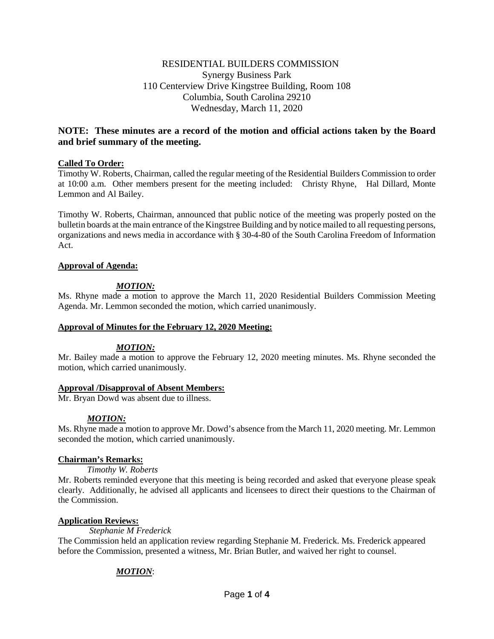## RESIDENTIAL BUILDERS COMMISSION Synergy Business Park 110 Centerview Drive Kingstree Building, Room 108 Columbia, South Carolina 29210 Wednesday, March 11, 2020

# **NOTE: These minutes are a record of the motion and official actions taken by the Board and brief summary of the meeting.**

### **Called To Order:**

Timothy W. Roberts, Chairman, called the regular meeting of the Residential Builders Commission to order at 10:00 a.m. Other members present for the meeting included: Christy Rhyne, Hal Dillard, Monte Lemmon and Al Bailey.

Timothy W. Roberts, Chairman, announced that public notice of the meeting was properly posted on the bulletin boards at the main entrance of the Kingstree Building and by notice mailed to all requesting persons, organizations and news media in accordance with § 30-4-80 of the South Carolina Freedom of Information Act.

### **Approval of Agenda:**

### *MOTION:*

Ms. Rhyne made a motion to approve the March 11, 2020 Residential Builders Commission Meeting Agenda. Mr. Lemmon seconded the motion, which carried unanimously.

### **Approval of Minutes for the February 12, 2020 Meeting:**

### *MOTION:*

Mr. Bailey made a motion to approve the February 12, 2020 meeting minutes. Ms. Rhyne seconded the motion, which carried unanimously.

### **Approval /Disapproval of Absent Members:**

Mr. Bryan Dowd was absent due to illness.

### *MOTION:*

Ms. Rhyne made a motion to approve Mr. Dowd's absence from the March 11, 2020 meeting. Mr. Lemmon seconded the motion, which carried unanimously.

### **Chairman's Remarks:**

*Timothy W. Roberts*

Mr. Roberts reminded everyone that this meeting is being recorded and asked that everyone please speak clearly. Additionally, he advised all applicants and licensees to direct their questions to the Chairman of the Commission.

### **Application Reviews:**

*Stephanie M Frederick*

The Commission held an application review regarding Stephanie M. Frederick. Ms. Frederick appeared before the Commission, presented a witness, Mr. Brian Butler, and waived her right to counsel.

### *MOTION*: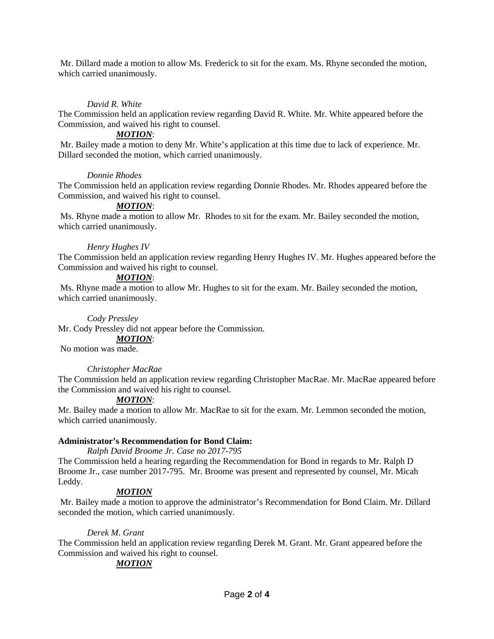Mr. Dillard made a motion to allow Ms. Frederick to sit for the exam. Ms. Rhyne seconded the motion, which carried unanimously.

### *David R. White*

The Commission held an application review regarding David R. White. Mr. White appeared before the Commission, and waived his right to counsel.

### *MOTION*:

Mr. Bailey made a motion to deny Mr. White's application at this time due to lack of experience. Mr. Dillard seconded the motion, which carried unanimously.

### *Donnie Rhodes*

The Commission held an application review regarding Donnie Rhodes. Mr. Rhodes appeared before the Commission, and waived his right to counsel.

### *MOTION*:

Ms. Rhyne made a motion to allow Mr. Rhodes to sit for the exam. Mr. Bailey seconded the motion, which carried unanimously.

### *Henry Hughes IV*

The Commission held an application review regarding Henry Hughes IV. Mr. Hughes appeared before the Commission and waived his right to counsel.

### *MOTION*:

Ms. Rhyne made a motion to allow Mr. Hughes to sit for the exam. Mr. Bailey seconded the motion, which carried unanimously.

#### *Cody Pressley*

Mr. Cody Pressley did not appear before the Commission.

#### *MOTION*:

No motion was made.

### *Christopher MacRae*

The Commission held an application review regarding Christopher MacRae. Mr. MacRae appeared before the Commission and waived his right to counsel.

### *MOTION*:

Mr. Bailey made a motion to allow Mr. MacRae to sit for the exam. Mr. Lemmon seconded the motion, which carried unanimously.

### **Administrator's Recommendation for Bond Claim:**

*Ralph David Broome Jr. Case no 2017-795*

The Commission held a hearing regarding the Recommendation for Bond in regards to Mr. Ralph D Broome Jr., case number 2017-795. Mr. Broome was present and represented by counsel, Mr. Micah Leddy.

### *MOTION*

Mr. Bailey made a motion to approve the administrator's Recommendation for Bond Claim. Mr. Dillard seconded the motion, which carried unanimously.

### *Derek M. Grant*

The Commission held an application review regarding Derek M. Grant. Mr. Grant appeared before the Commission and waived his right to counsel.

### *MOTION*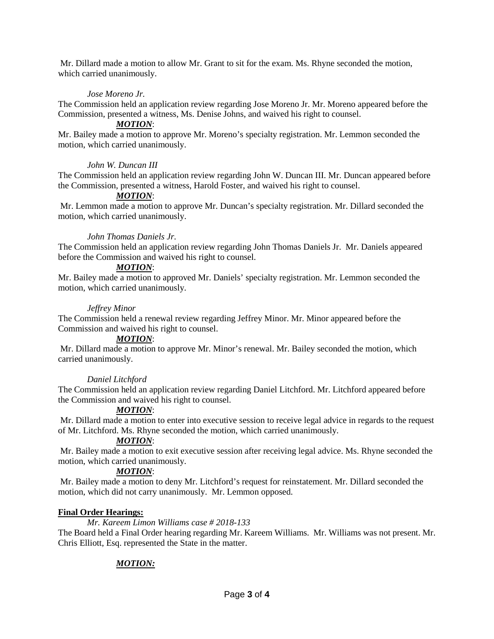Mr. Dillard made a motion to allow Mr. Grant to sit for the exam. Ms. Rhyne seconded the motion, which carried unanimously.

### *Jose Moreno Jr.*

The Commission held an application review regarding Jose Moreno Jr. Mr. Moreno appeared before the Commission, presented a witness, Ms. Denise Johns, and waived his right to counsel.

### *MOTION*:

Mr. Bailey made a motion to approve Mr. Moreno's specialty registration. Mr. Lemmon seconded the motion, which carried unanimously.

### *John W. Duncan III*

The Commission held an application review regarding John W. Duncan III. Mr. Duncan appeared before the Commission, presented a witness, Harold Foster, and waived his right to counsel.

### *MOTION*:

Mr. Lemmon made a motion to approve Mr. Duncan's specialty registration. Mr. Dillard seconded the motion, which carried unanimously.

### *John Thomas Daniels Jr.*

The Commission held an application review regarding John Thomas Daniels Jr. Mr. Daniels appeared before the Commission and waived his right to counsel.

## *MOTION*:

Mr. Bailey made a motion to approved Mr. Daniels' specialty registration. Mr. Lemmon seconded the motion, which carried unanimously.

### *Jeffrey Minor*

The Commission held a renewal review regarding Jeffrey Minor. Mr. Minor appeared before the Commission and waived his right to counsel.

### *MOTION*:

Mr. Dillard made a motion to approve Mr. Minor's renewal. Mr. Bailey seconded the motion, which carried unanimously.

### *Daniel Litchford*

The Commission held an application review regarding Daniel Litchford. Mr. Litchford appeared before the Commission and waived his right to counsel.

### *MOTION*:

Mr. Dillard made a motion to enter into executive session to receive legal advice in regards to the request of Mr. Litchford. Ms. Rhyne seconded the motion, which carried unanimously.

### *MOTION*:

Mr. Bailey made a motion to exit executive session after receiving legal advice. Ms. Rhyne seconded the motion, which carried unanimously.

### *MOTION*:

Mr. Bailey made a motion to deny Mr. Litchford's request for reinstatement. Mr. Dillard seconded the motion, which did not carry unanimously. Mr. Lemmon opposed.

### **Final Order Hearings:**

*Mr. Kareem Limon Williams case # 2018-133* The Board held a Final Order hearing regarding Mr. Kareem Williams. Mr. Williams was not present. Mr. Chris Elliott, Esq. represented the State in the matter.

# *MOTION:*